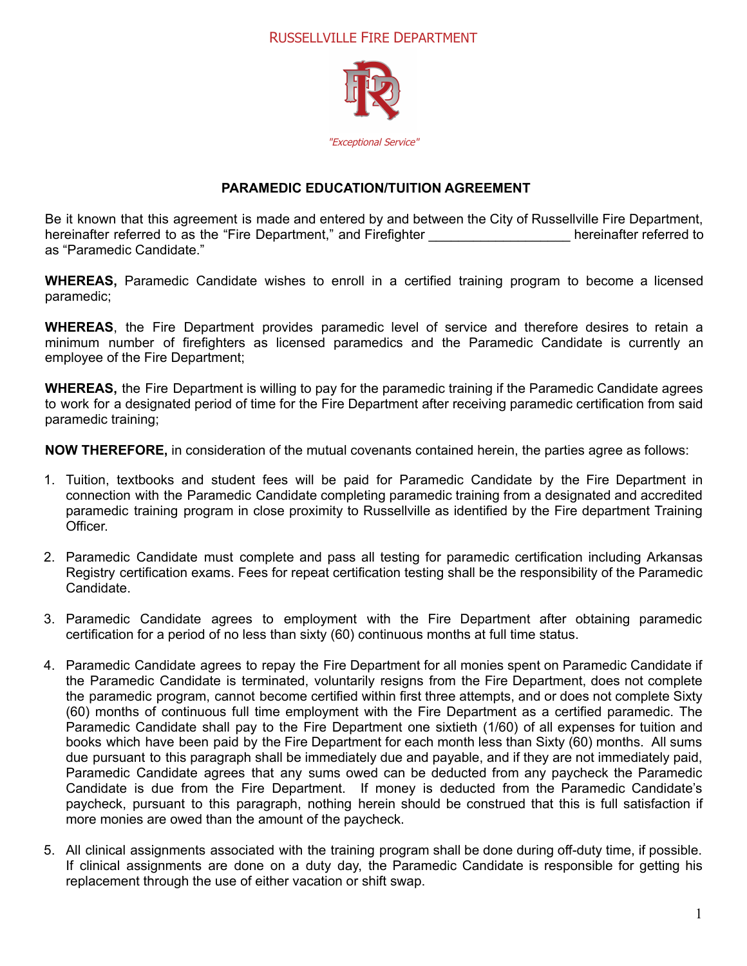## RUSSELLVILLE FIRE DEPARTMENT



## **PARAMEDIC EDUCATION/TUITION AGREEMENT**

Be it known that this agreement is made and entered by and between the City of Russellville Fire Department, hereinafter referred to as the "Fire Department," and Firefighter **The Constantivene** hereinafter referred to as "Paramedic Candidate."

**WHEREAS,** Paramedic Candidate wishes to enroll in a certified training program to become a licensed paramedic;

**WHEREAS**, the Fire Department provides paramedic level of service and therefore desires to retain a minimum number of firefighters as licensed paramedics and the Paramedic Candidate is currently an employee of the Fire Department;

**WHEREAS,** the Fire Department is willing to pay for the paramedic training if the Paramedic Candidate agrees to work for a designated period of time for the Fire Department after receiving paramedic certification from said paramedic training;

**NOW THEREFORE,** in consideration of the mutual covenants contained herein, the parties agree as follows:

- 1. Tuition, textbooks and student fees will be paid for Paramedic Candidate by the Fire Department in connection with the Paramedic Candidate completing paramedic training from a designated and accredited paramedic training program in close proximity to Russellville as identified by the Fire department Training Officer.
- 2. Paramedic Candidate must complete and pass all testing for paramedic certification including Arkansas Registry certification exams. Fees for repeat certification testing shall be the responsibility of the Paramedic Candidate.
- 3. Paramedic Candidate agrees to employment with the Fire Department after obtaining paramedic certification for a period of no less than sixty (60) continuous months at full time status.
- 4. Paramedic Candidate agrees to repay the Fire Department for all monies spent on Paramedic Candidate if the Paramedic Candidate is terminated, voluntarily resigns from the Fire Department, does not complete the paramedic program, cannot become certified within first three attempts, and or does not complete Sixty (60) months of continuous full time employment with the Fire Department as a certified paramedic. The Paramedic Candidate shall pay to the Fire Department one sixtieth (1/60) of all expenses for tuition and books which have been paid by the Fire Department for each month less than Sixty (60) months. All sums due pursuant to this paragraph shall be immediately due and payable, and if they are not immediately paid, Paramedic Candidate agrees that any sums owed can be deducted from any paycheck the Paramedic Candidate is due from the Fire Department. If money is deducted from the Paramedic Candidate's paycheck, pursuant to this paragraph, nothing herein should be construed that this is full satisfaction if more monies are owed than the amount of the paycheck.
- 5. All clinical assignments associated with the training program shall be done during off-duty time, if possible. If clinical assignments are done on a duty day, the Paramedic Candidate is responsible for getting his replacement through the use of either vacation or shift swap.